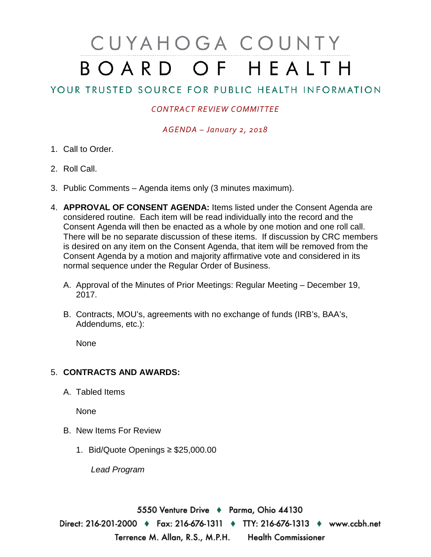## CUYAHOGA COUNTY BOARD OF HEALTH

## YOUR TRUSTED SOURCE FOR PUBLIC HEALTH INFORMATION

## *CONTRACT REVIEW COMMITTEE*

*AGENDA – January 2, 2018*

- 1. Call to Order.
- 2. Roll Call.
- 3. Public Comments Agenda items only (3 minutes maximum).
- 4. **APPROVAL OF CONSENT AGENDA:** Items listed under the Consent Agenda are considered routine. Each item will be read individually into the record and the Consent Agenda will then be enacted as a whole by one motion and one roll call. There will be no separate discussion of these items. If discussion by CRC members is desired on any item on the Consent Agenda, that item will be removed from the Consent Agenda by a motion and majority affirmative vote and considered in its normal sequence under the Regular Order of Business.
	- A. Approval of the Minutes of Prior Meetings: Regular Meeting December 19, 2017.
	- B. Contracts, MOU's, agreements with no exchange of funds (IRB's, BAA's, Addendums, etc.):

None

## 5. **CONTRACTS AND AWARDS:**

A. Tabled Items

None

- B. New Items For Review
	- 1. Bid/Quote Openings ≥ \$25,000.00

*Lead Program* 

5550 Venture Drive + Parma, Ohio 44130 Direct: 216-201-2000 • Fax: 216-676-1311 • TTY: 216-676-1313 • www.ccbh.net Health Commissioner Terrence M. Allan, R.S., M.P.H.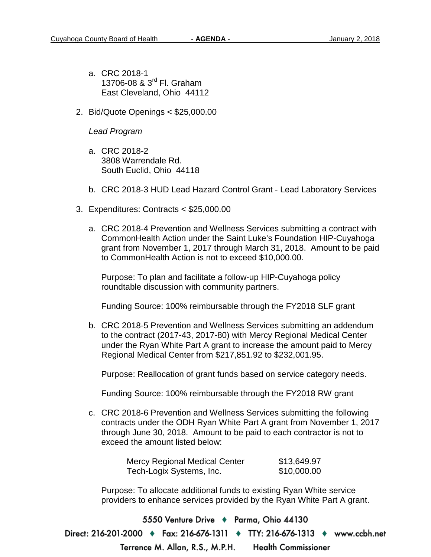- a. CRC 2018-1 13706-08 & 3<sup>rd</sup> Fl. Graham East Cleveland, Ohio 44112
- 2. Bid/Quote Openings < \$25,000.00

*Lead Program* 

- a. CRC 2018-2 3808 Warrendale Rd. South Euclid, Ohio 44118
- b. CRC 2018-3 HUD Lead Hazard Control Grant Lead Laboratory Services
- 3. Expenditures: Contracts < \$25,000.00
	- a. CRC 2018-4 Prevention and Wellness Services submitting a contract with CommonHealth Action under the Saint Luke's Foundation HIP-Cuyahoga grant from November 1, 2017 through March 31, 2018. Amount to be paid to CommonHealth Action is not to exceed \$10,000.00.

Purpose: To plan and facilitate a follow-up HIP-Cuyahoga policy roundtable discussion with community partners.

Funding Source: 100% reimbursable through the FY2018 SLF grant

b. CRC 2018-5 Prevention and Wellness Services submitting an addendum to the contract (2017-43, 2017-80) with Mercy Regional Medical Center under the Ryan White Part A grant to increase the amount paid to Mercy Regional Medical Center from \$217,851.92 to \$232,001.95.

Purpose: Reallocation of grant funds based on service category needs.

Funding Source: 100% reimbursable through the FY2018 RW grant

c. CRC 2018-6 Prevention and Wellness Services submitting the following contracts under the ODH Ryan White Part A grant from November 1, 2017 through June 30, 2018. Amount to be paid to each contractor is not to exceed the amount listed below:

| <b>Mercy Regional Medical Center</b> | \$13,649.97 |
|--------------------------------------|-------------|
| Tech-Logix Systems, Inc.             | \$10,000.00 |

Purpose: To allocate additional funds to existing Ryan White service providers to enhance services provided by the Ryan White Part A grant.

5550 Venture Drive + Parma, Ohio 44130 Direct: 216-201-2000 • Fax: 216-676-1311 • TTY: 216-676-1313 • www.ccbh.net **Health Commissioner** Terrence M. Allan, R.S., M.P.H.